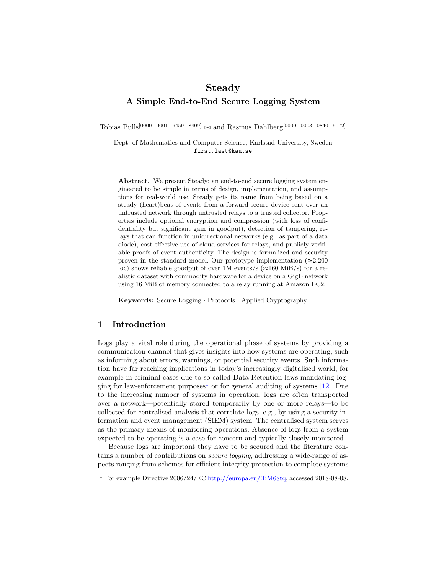# Steady A Simple End-to-End Secure Logging System

Tobias Pulls<sup>[0000–0001–6459–8409]</sup>  $\boxtimes$  and Rasmus Dahlberg<sup>[0000–0003–0840–5072]</sup>

Dept. of Mathematics and Computer Science, Karlstad University, Sweden first.last@kau.se

Abstract. We present Steady: an end-to-end secure logging system engineered to be simple in terms of design, implementation, and assumptions for real-world use. Steady gets its name from being based on a steady (heart)beat of events from a forward-secure device sent over an untrusted network through untrusted relays to a trusted collector. Properties include optional encryption and compression (with loss of confidentiality but significant gain in goodput), detection of tampering, relays that can function in unidirectional networks (e.g., as part of a data diode), cost-effective use of cloud services for relays, and publicly verifiable proofs of event authenticity. The design is formalized and security proven in the standard model. Our prototype implementation  $(\approx 2,200)$ loc) shows reliable goodput of over 1M events/s ( $\approx$ 160 MiB/s) for a realistic dataset with commodity hardware for a device on a GigE network using 16 MiB of memory connected to a relay running at Amazon EC2.

Keywords: Secure Logging · Protocols · Applied Cryptography.

# 1 Introduction

Logs play a vital role during the operational phase of systems by providing a communication channel that gives insights into how systems are operating, such as informing about errors, warnings, or potential security events. Such information have far reaching implications in today's increasingly digitalised world, for example in criminal cases due to so-called Data Retention laws mandating log-ging for law-enforcement purposes<sup>[1](#page-0-0)</sup> or for general auditing of systems  $[12]$ . Due to the increasing number of systems in operation, logs are often transported over a network—potentially stored temporarily by one or more relays—to be collected for centralised analysis that correlate logs, e.g., by using a security information and event management (SIEM) system. The centralised system serves as the primary means of monitoring operations. Absence of logs from a system expected to be operating is a case for concern and typically closely monitored.

Because logs are important they have to be secured and the literature contains a number of contributions on secure logging, addressing a wide-range of aspects ranging from schemes for efficient integrity protection to complete systems

<span id="page-0-0"></span><sup>1</sup> For example Directive 2006/24/EC [http://europa.eu/!BM68tq,](http://europa.eu/!BM68tq) accessed 2018-08-08.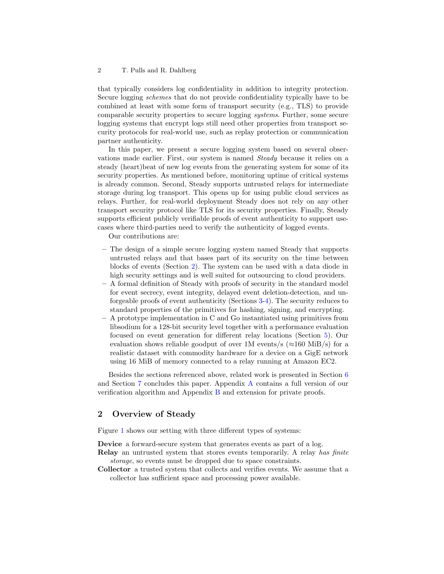that typically considers log confidentiality in addition to integrity protection. Secure logging schemes that do not provide confidentiality typically have to be combined at least with some form of transport security (e.g., TLS) to provide comparable security properties to secure logging systems. Further, some secure logging systems that encrypt logs still need other properties from transport security protocols for real-world use, such as replay protection or communication partner authenticity.

In this paper, we present a secure logging system based on several observations made earlier. First, our system is named Steady because it relies on a steady (heart)beat of new log events from the generating system for some of its security properties. As mentioned before, monitoring uptime of critical systems is already common. Second, Steady supports untrusted relays for intermediate storage during log transport. This opens up for using public cloud services as relays. Further, for real-world deployment Steady does not rely on any other transport security protocol like TLS for its security properties. Finally, Steady supports efficient publicly verifiable proofs of event authenticity to support usecases where third-parties need to verify the authenticity of logged events.

Our contributions are:

- The design of a simple secure logging system named Steady that supports untrusted relays and that bases part of its security on the time between blocks of events (Section [2\)](#page-1-0). The system can be used with a data diode in high security settings and is well suited for outsourcing to cloud providers.
- A formal definition of Steady with proofs of security in the standard model for event secrecy, event integrity, delayed event deletion-detection, and unforgeable proofs of event authenticity (Sections [3](#page-5-0)[-4\)](#page-9-0). The security reduces to standard properties of the primitives for hashing, signing, and encrypting.
- A prototype implementation in C and Go instantiated using primitives from libsodium for a 128-bit security level together with a performance evaluation focused on event generation for different relay locations (Section [5\)](#page-12-0). Our evaluation shows reliable goodput of over 1M events/s ( $\approx$ 160 MiB/s) for a realistic dataset with commodity hardware for a device on a GigE network using 16 MiB of memory connected to a relay running at Amazon EC2.

Besides the sections referenced above, related work is presented in Section [6](#page-13-0) and Section [7](#page-14-0) concludes this paper. Appendix [A](#page-15-1) contains a full version of our verification algorithm and Appendix [B](#page-16-0) and extension for private proofs.

# <span id="page-1-0"></span>2 Overview of Steady

Figure [1](#page-2-0) shows our setting with three different types of systems:

Device a forward-secure system that generates events as part of a log.

- Relay an untrusted system that stores events temporarily. A relay has finite storage, so events must be dropped due to space constraints.
- Collector a trusted system that collects and verifies events. We assume that a collector has sufficient space and processing power available.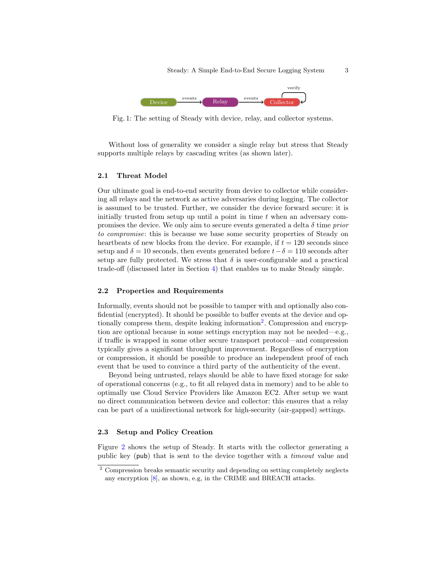<span id="page-2-0"></span>

Fig. 1: The setting of Steady with device, relay, and collector systems.

Without loss of generality we consider a single relay but stress that Steady supports multiple relays by cascading writes (as shown later).

#### 2.1 Threat Model

Our ultimate goal is end-to-end security from device to collector while considering all relays and the network as active adversaries during logging. The collector is assumed to be trusted. Further, we consider the device forward secure: it is initially trusted from setup up until a point in time  $t$  when an adversary compromises the device. We only aim to secure events generated a delta  $\delta$  time prior to compromise: this is because we base some security properties of Steady on heartbeats of new blocks from the device. For example, if  $t = 120$  seconds since setup and  $\delta = 10$  seconds, then events generated before  $t - \delta = 110$  seconds after setup are fully protected. We stress that  $\delta$  is user-configurable and a practical trade-off (discussed later in Section [4\)](#page-9-0) that enables us to make Steady simple.

## 2.2 Properties and Requirements

Informally, events should not be possible to tamper with and optionally also confidential (encrypted). It should be possible to buffer events at the device and op-tionally compress them, despite leaking information<sup>[2](#page-2-1)</sup>. Compression and encryption are optional because in some settings encryption may not be needed—e.g., if traffic is wrapped in some other secure transport protocol—and compression typically gives a significant throughput improvement. Regardless of encryption or compression, it should be possible to produce an independent proof of each event that be used to convince a third party of the authenticity of the event.

Beyond being untrusted, relays should be able to have fixed storage for sake of operational concerns (e.g., to fit all relayed data in memory) and to be able to optimally use Cloud Service Providers like Amazon EC2. After setup we want no direct communication between device and collector: this ensures that a relay can be part of a unidirectional network for high-security (air-gapped) settings.

#### 2.3 Setup and Policy Creation

Figure [2](#page-3-0) shows the setup of Steady. It starts with the collector generating a public key (pub) that is sent to the device together with a timeout value and

<span id="page-2-1"></span><sup>&</sup>lt;sup>2</sup> Compression breaks semantic security and depending on setting completely neglects any encryption [\[8\]](#page-15-2), as shown, e.g, in the CRIME and BREACH attacks.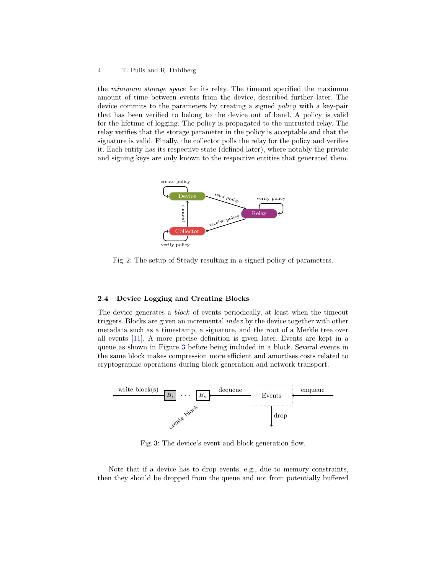the minimum storage space for its relay. The timeout specified the maximum amount of time between events from the device, described further later. The device commits to the parameters by creating a signed policy with a key-pair that has been verified to belong to the device out of band. A policy is valid for the lifetime of logging. The policy is propagated to the untrusted relay. The relay verifies that the storage parameter in the policy is acceptable and that the signature is valid. Finally, the collector polls the relay for the policy and verifies it. Each entity has its respective state (defined later), where notably the private and signing keys are only known to the respective entities that generated them.

<span id="page-3-0"></span>

Fig. 2: The setup of Steady resulting in a signed policy of parameters.

## <span id="page-3-2"></span>2.4 Device Logging and Creating Blocks

The device generates a block of events periodically, at least when the timeout triggers. Blocks are given an incremental index by the device together with other metadata such as a timestamp, a signature, and the root of a Merkle tree over all events [\[11\]](#page-15-3). A more precise definition is given later. Events are kept in a queue as shown in Figure [3](#page-3-1) before being included in a block. Several events in the same block makes compression more efficient and amortises costs related to cryptographic operations during block generation and network transport.

<span id="page-3-1"></span>

Fig. 3: The device's event and block generation flow.

Note that if a device has to drop events, e.g., due to memory constraints, then they should be dropped from the queue and not from potentially buffered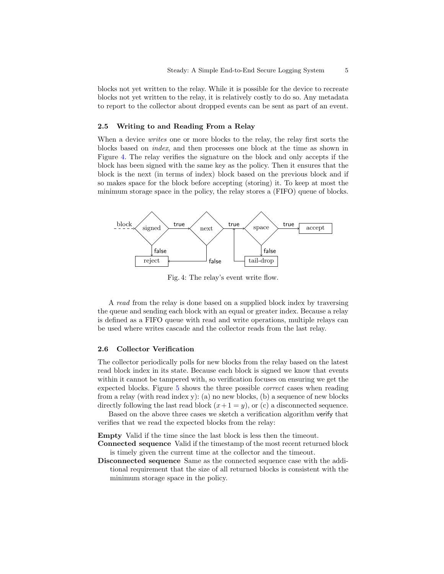blocks not yet written to the relay. While it is possible for the device to recreate blocks not yet written to the relay, it is relatively costly to do so. Any metadata to report to the collector about dropped events can be sent as part of an event.

## 2.5 Writing to and Reading From a Relay

When a device *writes* one or more blocks to the relay, the relay first sorts the blocks based on index, and then processes one block at the time as shown in Figure [4.](#page-4-0) The relay verifies the signature on the block and only accepts if the block has been signed with the same key as the policy. Then it ensures that the block is the next (in terms of index) block based on the previous block and if so makes space for the block before accepting (storing) it. To keep at most the minimum storage space in the policy, the relay stores a (FIFO) queue of blocks.

<span id="page-4-0"></span>

Fig. 4: The relay's event write flow.

A read from the relay is done based on a supplied block index by traversing the queue and sending each block with an equal or greater index. Because a relay is defined as a FIFO queue with read and write operations, multiple relays can be used where writes cascade and the collector reads from the last relay.

## 2.6 Collector Verification

The collector periodically polls for new blocks from the relay based on the latest read block index in its state. Because each block is signed we know that events within it cannot be tampered with, so verification focuses on ensuring we get the expected blocks. Figure [5](#page-5-1) shows the three possible correct cases when reading from a relay (with read index y): (a) no new blocks, (b) a sequence of new blocks directly following the last read block  $(x+1 = y)$ , or (c) a disconnected sequence.

Based on the above three cases we sketch a verification algorithm verify that verifies that we read the expected blocks from the relay:

Empty Valid if the time since the last block is less then the timeout.

- Connected sequence Valid if the timestamp of the most recent returned block is timely given the current time at the collector and the timeout.
- Disconnected sequence Same as the connected sequence case with the additional requirement that the size of all returned blocks is consistent with the minimum storage space in the policy.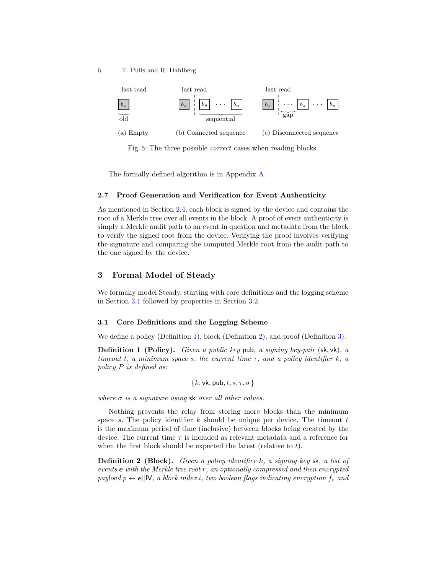

Fig. 5: The three possible correct cases when reading blocks.

The formally defined algorithm is in Appendix [A.](#page-15-1)

## 2.7 Proof Generation and Verification for Event Authenticity

As mentioned in Section [2.4,](#page-3-2) each block is signed by the device and contains the root of a Merkle tree over all events in the block. A proof of event authenticity is simply a Merkle audit path to an event in question and metadata from the block to verify the signed root from the device. Verifying the proof involves verifying the signature and comparing the computed Merkle root from the audit path to the one signed by the device.

# <span id="page-5-0"></span>3 Formal Model of Steady

We formally model Steady, starting with core definitions and the logging scheme in Section [3.1](#page-5-2) followed by properties in Section [3.2.](#page-7-0)

#### <span id="page-5-2"></span>3.1 Core Definitions and the Logging Scheme

We define a policy (Definition [1\)](#page-5-3), block (Definition [2\)](#page-5-4), and proof (Definition [3\)](#page-6-0).

**Definition 1 (Policy).** Given a public key pub, a signing key-pair (sk, vk), a timeout t, a minimum space s, the current time  $\tau$ , and a policy identifier k, a policy  $P$  is defined as:

<span id="page-5-3"></span>
$$
\{k, \mathsf{vk}, \mathsf{pub}, t, s, \tau, \sigma\}
$$

where  $\sigma$  is a signature using  $\operatorname{\sf sk}$  over all other values.

Nothing prevents the relay from storing more blocks than the minimum space s. The policy identifier k should be unique per device. The timeout  $t$ is the maximum period of time (inclusive) between blocks being created by the device. The current time  $\tau$  is included as relevant metadata and a reference for when the first block should be expected the latest (relative to  $t$ ).

<span id="page-5-4"></span>**Definition 2 (Block).** Given a policy identifier k, a signing key sk, a list of events  $e$  with the Merkle tree root  $r$ , an optionally compressed and then encrypted payload  $p \leftarrow e||V$ , a block index i, two boolean flags indicating encryption  $f_e$  and

<span id="page-5-1"></span>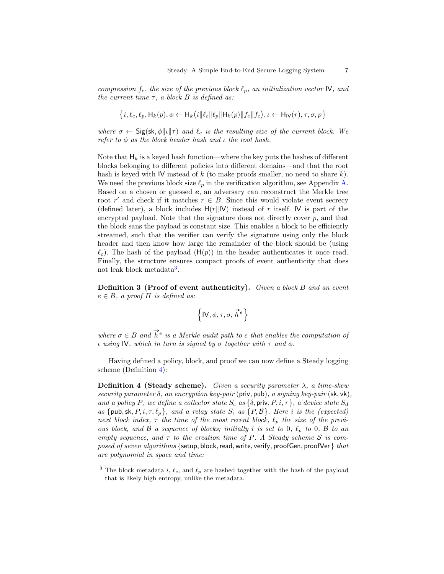compression  $f_c$ , the size of the previous block  $\ell_p$ , an initialization vector  $\mathsf{IV},$  and the current time  $\tau$ , a block B is defined as:

$$
\{i, \ell_c, \ell_p, \mathsf{H}_k(p), \phi \leftarrow \mathsf{H}_k(i||\ell_c||\ell_p||\mathsf{H}_k(p)||f_e||f_c), \iota \leftarrow \mathsf{H}_\mathsf{IV}(r), \tau, \sigma, p\}
$$

where  $\sigma \leftarrow \text{Sig}(\text{sk}, \phi || \psi \rangle)$  and  $\ell_c$  is the resulting size of the current block. We refer to  $\phi$  as the block header hash and  $\iota$  the root hash.

Note that  $H_k$  is a keyed hash function—where the key puts the hashes of different blocks belonging to different policies into different domains—and that the root hash is keyed with IV instead of  $k$  (to make proofs smaller, no need to share  $k$ ). We need the previous block size  $\ell_p$  in the verification algorithm, see Appendix [A.](#page-15-1) Based on a chosen or guessed  $e$ , an adversary can reconstruct the Merkle tree root r' and check if it matches  $r \in B$ . Since this would violate event secrecy (defined later), a block includes  $H(r\|N)$  instead of r itself. IV is part of the encrypted payload. Note that the signature does not directly cover  $p$ , and that the block sans the payload is constant size. This enables a block to be efficiently streamed, such that the verifier can verify the signature using only the block header and then know how large the remainder of the block should be (using  $\ell_c$ ). The hash of the payload (H(p)) in the header authenticates it once read. Finally, the structure ensures compact proofs of event authenticity that does not leak block metadata<sup>[3](#page-6-1)</sup>.

<span id="page-6-0"></span>Definition 3 (Proof of event authenticity). Given a block B and an event  $e \in B$ , a proof  $\Pi$  is defined as:

<span id="page-6-2"></span>
$$
\left\{ \mathsf{IV}, \phi, \tau, \sigma, \overrightarrow{h}^e \right\}
$$

where  $\sigma \in B$  and  $\vec{h}^e$  is a Merkle audit path to e that enables the computation of ι using IV, which in turn is signed by σ together with τ and φ.

Having defined a policy, block, and proof we can now define a Steady logging scheme (Definition [4\)](#page-6-2):

**Definition 4 (Steady scheme).** Given a security parameter  $\lambda$ , a time-skew security parameter  $\delta$ , an encryption key-pair (priv, pub), a signing key-pair (sk, vk), and a policy P, we define a collector state  $S_c$  as  $\{\delta, \text{priv}, P, i, \tau\}$ , a device state  $S_d$ as {pub, sk,  $P, i, \tau, \ell_p$ }, and a relay state  $S_r$  as {P, B}. Here i is the (expected) next block index,  $\tau$  the time of the most recent block,  $\ell_p$  the size of the previous block, and  $\beta$  a sequence of blocks; initially i is set to 0,  $\ell_p$  to 0,  $\beta$  to an empty sequence, and  $\tau$  to the creation time of P. A Steady scheme S is com $posed\ of\ seven\ algorithms$  {setup, block, read, write, verify, proofGen, proofVer } that are polynomial in space and time:

<span id="page-6-1"></span><sup>&</sup>lt;sup>3</sup> The block metadata *i*,  $\ell_c$ , and  $\ell_p$  are hashed together with the hash of the payload that is likely high entropy, unlike the metadata.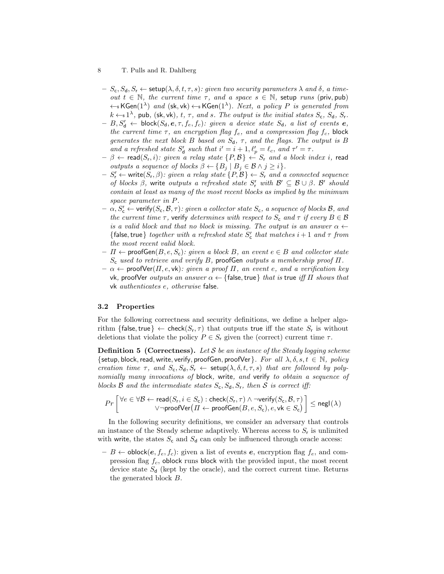- $S_{\rm c}, S_{\rm d}, S_{\rm r} \leftarrow$  setup $(\lambda, \delta, t, \tau, s)$ : given two security parameters  $\lambda$  and  $\delta$ , a timeout  $t \in \mathbb{N}$ , the current time  $\tau$ , and a space  $s \in \mathbb{N}$ , setup runs (priv, pub)  $\leftarrow$  KGen(1<sup> $\lambda$ </sup>) and (sk, vk)  $\leftarrow$  KGen(1<sup> $\lambda$ </sup>). Next, a policy P is generated from  $k \leftarrow s1^{\lambda}$ , pub, (sk, vk), t,  $\tau$ , and s. The output is the initial states  $S_c$ ,  $S_d$ ,  $S_r$ .
- $B, S'_{d} \leftarrow \text{block}(S_{d}, e, \tau, f_{e}, f_{c})$ : given a device state  $S_{d}$ , a list of events  $e$ , the current time  $\tau$ , an encryption flag  $f_e$ , and a compression flag  $f_c$ , block generates the next block B based on  $S_d$ ,  $\tau$ , and the flags. The output is B and a refreshed state  $S'_{\mathsf{d}}$  such that  $i' = i + 1$ ,  $\ell'_{p} = \ell_{c}$ , and  $\tau' = \tau$ .
- $\beta$   $\leftarrow$  read $(S_{\sf r},i)$ : given a relay state  $\{P,{\cal B}\}$   $\leftarrow$   $S_{\sf r}$  and a block index i, read outputs a sequence of blocks  $β \leftarrow {B_j | B_j ∈ B ∧ j ≥ i}.$
- $S'_r \leftarrow \text{write}(S_r, \beta)$ : given a relay state  $\{P, \mathcal{B}\} \leftarrow S_r$  and a connected sequence of blocks  $\beta$ , write outputs a refreshed state  $S'_r$  with  $\mathcal{B}' \subseteq \mathcal{B} \cup \beta$ .  $\mathcal{B}'$  should contain at least as many of the most recent blocks as implied by the minimum space parameter in P.
- $-\alpha, S'_c \leftarrow$  verify $(S_c, \mathcal{B}, \tau)$ : given a collector state  $S_c$ , a sequence of blocks  $\mathcal{B}$ , and the current time  $\tau$ , verify determines with respect to  $S_c$  and  $\tau$  if every  $B \in \mathcal{B}$ is a valid block and that no block is missing. The output is an answer  $\alpha \leftarrow$ {false, true} together with a refreshed state  $S_c'$  that matches  $i+1$  and  $\tau$  from the most recent valid block.
- $-I \rightarrow$  proofGen $(B, e, S_c)$ : given a block B, an event  $e \in B$  and collector state  $S_c$  used to retrieve and verify B, proofGen outputs a membership proof  $\Pi$ .
- $-\alpha \leftarrow \text{proofVer}(\Pi, e, \text{vk})$ : given a proof  $\Pi$ , an event e, and a verification key vk, proofVer *outputs an answer*  $\alpha \leftarrow \{\text{false}, \text{true}\}$  that is true iff  $\Pi$  shows that vk authenticates e, otherwise false.

## <span id="page-7-0"></span>3.2 Properties

For the following correctness and security definitions, we define a helper algorithm  $\{\mathsf{false}, \mathsf{true}\} \leftarrow \mathsf{check}(S_r, \tau)$  that outputs true iff the state  $S_r$  is without deletions that violate the policy  $P \in S_r$  given the (correct) current time  $\tau$ .

<span id="page-7-1"></span>**Definition 5 (Correctness).** Let  $S$  be an instance of the Steady logging scheme {setup, block, read, write, verify, proofGen, proofVer }. For all  $\lambda, \delta, s, t \in \mathbb{N}$ , policy creation time  $\tau$ , and  $S_c$ ,  $S_d$ ,  $S_r$   $\leftarrow$  setup( $\lambda$ ,  $\delta$ ,  $t$ ,  $\tau$ ,  $s$ ) that are followed by polynomially many invocations of block, write, and verify to obtain a sequence of blocks  $\beta$  and the intermediate states  $S_c$ ,  $S_d$ ,  $S_r$ , then  $\beta$  is correct iff:

$$
Pr\left[\frac{\forall e \in \forall \mathcal{B} \leftarrow \mathsf{read}(S_\mathsf{r}, i \in S_\mathsf{c}) : \mathsf{check}(S_\mathsf{r}, \tau) \wedge \neg \mathsf{verify}(S_\mathsf{c}, \mathcal{B}, \tau)}{\vee \neg \mathsf{proofVer}\big(\varPi \leftarrow \mathsf{proofGen}(B, e, S_\mathsf{c}), e, \mathsf{vk} \in S_\mathsf{c}\big)}\right] \leq \mathsf{negl}(\lambda)
$$

In the following security definitions, we consider an adversary that controls an instance of the Steady scheme adaptively. Whereas access to  $S_r$  is unlimited with write, the states  $S_c$  and  $S_d$  can only be influenced through oracle access:

 $-B \leftarrow \text{oblock}(e, f_e, f_c)$ : given a list of events e, encryption flag  $f_e$ , and compression flag  $f_c$ , oblock runs block with the provided input, the most recent device state  $S_d$  (kept by the oracle), and the correct current time. Returns the generated block B.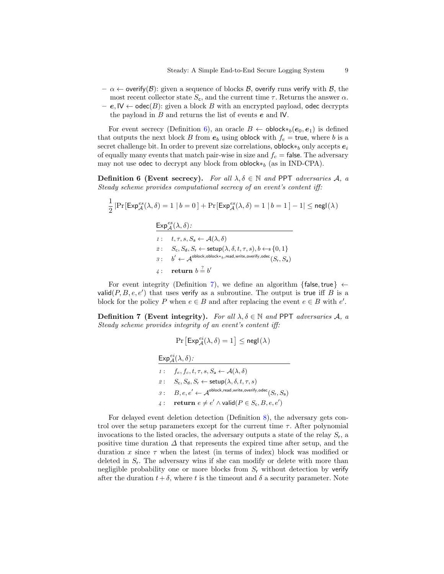- $-\alpha \leftarrow$  overify( $\beta$ ): given a sequence of blocks  $\beta$ , overify runs verify with  $\beta$ , the most recent collector state  $S_c$ , and the current time  $\tau$ . Returns the answer  $\alpha$ .
- $-e, W \leftarrow$  odec $(B)$ : given a block B with an encrypted payload, odec decrypts the payload in  $B$  and returns the list of events  $e$  and  $\mathsf{IV}$ .

For event secrecy (Definition [6\)](#page-8-0), an oracle  $B \leftarrow \text{oblock}_{b}(e_0, e_1)$  is defined that outputs the next block B from  $e_b$  using oblock with  $f_e$  = true, where b is a secret challenge bit. In order to prevent size correlations, oblock $*_b$  only accepts  $e_i$ of equally many events that match pair-wise in size and  $f_c$  = false. The adversary may not use odec to decrypt any block from oblock $*_b$  (as in IND-CPA).

<span id="page-8-0"></span>**Definition 6 (Event secrecy).** For all  $\lambda, \delta \in \mathbb{N}$  and PPT adversaries A, a Steady scheme provides computational secrecy of an event's content iff:

1 2 |Pr[Expes <sup>A</sup> (λ, δ) = 1 | b = 0 ] + Pr[Expes <sup>A</sup> (λ, δ) = 1 | b = 1 ] − 1| ≤ negl(λ) Expes <sup>A</sup> (λ, δ): 1 : t, τ, s, S<sup>a</sup> ← A(λ, δ) 2 : Sc, Sd, S<sup>r</sup> ← setup(λ, δ, t, τ, s), b ←\$ {0, 1} 3 : b <sup>0</sup> ← Aoblock,oblock∗b,read,write,overify,odec(Sr, Sa) 4 : return b ?= b 0

For event integrity (Definition [7\)](#page-8-1), we define an algorithm {false, true }  $\leftarrow$ valid $(P, B, e, e')$  that uses verify as a subroutine. The output is true iff B is a block for the policy P when  $e \in B$  and after replacing the event  $e \in B$  with  $e'$ .

<span id="page-8-1"></span>**Definition 7 (Event integrity).** For all  $\lambda, \delta \in \mathbb{N}$  and PPT adversaries A, a Steady scheme provides integrity of an event's content iff:

$$
\Pr\left[\mathsf{Exp}_{\mathcal{A}}^{ei}(\lambda,\delta) = 1\right] \le \mathsf{negl}(\lambda)
$$

 $\mathsf{Exp}^{ei}_{\mathcal{A}}(\lambda,\delta)$ : 1:  $f_e, f_c, t, \tau, s, S_a \leftarrow \mathcal{A}(\lambda, \delta)$  $\mathcal{L}: \quad S_{\mathsf{c}}, S_{\mathsf{d}}, S_{\mathsf{r}} \leftarrow \mathsf{setup}(\lambda, \delta, t, \tau, s)$  $3: B, e, e' \leftarrow \mathcal{A}^{\text{oblock, read, write, overify, odec}}(S_r, S_a)$ 4: return  $e \neq e' \wedge \text{valid}(P \in S_c, B, e, e')$ 

For delayed event deletion detection (Definition [8\)](#page-9-1), the adversary gets control over the setup parameters except for the current time  $\tau$ . After polynomial invocations to the listed oracles, the adversary outputs a state of the relay  $S_r$ , a positive time duration  $\Delta$  that represents the expired time after setup, and the duration x since  $\tau$  when the latest (in terms of index) block was modified or deleted in  $S_r$ . The adversary wins if she can modify or delete with more than negligible probability one or more blocks from  $S_r$  without detection by verify after the duration  $t+\delta$ , where t is the timeout and  $\delta$  a security parameter. Note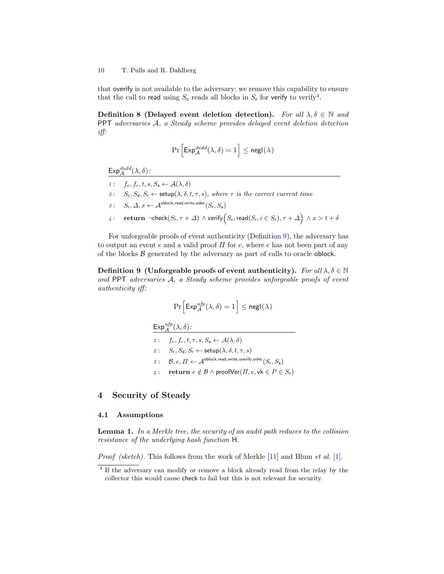that overify is not available to the adversary: we remove this capability to ensure that the call to read using  $S_c$  reads all blocks in  $S_r$  for verify to verify<sup>[4](#page-9-2)</sup>.

<span id="page-9-1"></span>Definition 8 (Delayed event deletion detection). For all  $\lambda, \delta \in \mathbb{N}$  and PPT adversaries A, a Steady scheme provides delayed event deletion detection iff:

$$
\Pr\Big[\mathrm{Exp}^{dedd}_{\mathcal{A}}(\lambda, \delta) = 1\Big] \leq \mathsf{negl}(\lambda)
$$

 $\mathsf{Exp}^{dedd}_{\mathcal{A}}(\lambda, \delta)$ :

- 1:  $f_e, f_c, t, s, S_a \leftarrow \mathcal{A}(\lambda, \delta)$
- 2:  $S_c$ ,  $S_d$ ,  $S_r$   $\leftarrow$  setup( $\lambda$ ,  $\delta$ ,  $t$ ,  $\tau$ ,  $s$ ), where  $\tau$  is the correct current time
- $S: S_r, \Delta, x \leftarrow \mathcal{A}^{\text{oblock, read, write,odec}}(S_r, S_a)$
- $4: \quad \textbf{return } \neg \textsf{check}(S_\mathsf{r},\tau+\varDelta) \, \wedge \, \textsf{verify}\Bigl(S_\mathsf{c},\mathsf{read}(S_\mathsf{r},i\in S_\mathsf{c}),\tau+\varDelta\Bigr) \, \wedge x > t+\delta$

For unforgeable proofs of event authenticity (Definition [9\)](#page-9-3), the adversary has to output an event e and a valid proof  $\Pi$  for e, where e has not been part of any of the blocks  $\beta$  generated by the adversary as part of calls to oracle oblock.

<span id="page-9-3"></span>Definition 9 (Unforgeable proofs of event authenticity). For all  $\lambda, \delta \in \mathbb{N}$ and PPT adversaries A, a Steady scheme provides unforgeable proofs of event authenticity iff:

$$
\Pr\Big[\mathsf{Exp}_{\mathcal{A}}^{\it{ufp}}(\lambda,\delta)=1\Big]\leq \mathsf{negl}(\lambda)
$$

# $\mathsf{Exp}_{\mathcal{A}}^{\textit{ufp}}(\lambda,\delta)$ :

1:  $f_e, f_c, t, \tau, s, S_a \leftarrow \mathcal{A}(\lambda, \delta)$  $\mathcal{L}: \quad S_{\mathsf{c}}, S_{\mathsf{d}}, S_{\mathsf{r}} \leftarrow \mathsf{setup}(\lambda, \delta, t, \tau, s)$  $3: \mathcal{B}, e, \Pi \leftarrow A^{\text{oblock, read, write, overify, odec}} (S_r, S_a)$ 4 : return  $e \notin \mathcal{B} \wedge \text{proofVer}(\Pi, e, \text{vk} \in P \in S_c)$ 

# <span id="page-9-0"></span>4 Security of Steady

## 4.1 Assumptions

<span id="page-9-4"></span>Lemma 1. In a Merkle tree, the security of an audit path reduces to the collision resistance of the underlying hash function H.

Proof (sketch). This follows from the work of Merkle [\[11\]](#page-15-3) and Blum et al. [\[1\]](#page-15-4).

<span id="page-9-2"></span><sup>&</sup>lt;sup>4</sup> If the adversary can modify or remove a block already read from the relay by the collector this would cause check to fail but this is not relevant for security.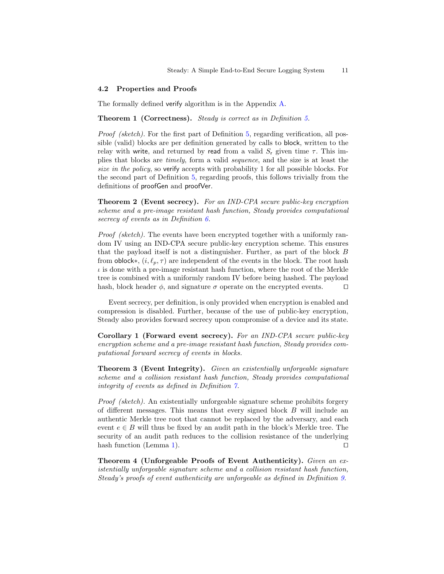## 4.2 Properties and Proofs

The formally defined verify algorithm is in the Appendix [A.](#page-15-1)

Theorem 1 (Correctness). Steady is correct as in Definition [5.](#page-7-1)

Proof (sketch). For the first part of Definition [5,](#page-7-1) regarding verification, all possible (valid) blocks are per definition generated by calls to block, written to the relay with write, and returned by read from a valid  $S_r$  given time  $\tau$ . This implies that blocks are timely, form a valid sequence, and the size is at least the size in the policy, so verify accepts with probability 1 for all possible blocks. For the second part of Definition [5,](#page-7-1) regarding proofs, this follows trivially from the definitions of proofGen and proofVer.

Theorem 2 (Event secrecy). For an IND-CPA secure public-key encryption scheme and a pre-image resistant hash function, Steady provides computational secrecy of events as in Definition [6.](#page-8-0)

Proof (sketch). The events have been encrypted together with a uniformly random IV using an IND-CPA secure public-key encryption scheme. This ensures that the payload itself is not a distinguisher. Further, as part of the block B from oblock $*, (i, \ell_p, \tau)$  are independent of the events in the block. The root hash  $\iota$  is done with a pre-image resistant hash function, where the root of the Merkle tree is combined with a uniformly random IV before being hashed. The payload hash, block header  $\phi$ , and signature  $\sigma$  operate on the encrypted events.  $\Box$ 

Event secrecy, per definition, is only provided when encryption is enabled and compression is disabled. Further, because of the use of public-key encryption, Steady also provides forward secrecy upon compromise of a device and its state.

Corollary 1 (Forward event secrecy). For an IND-CPA secure public-key encryption scheme and a pre-image resistant hash function, Steady provides computational forward secrecy of events in blocks.

**Theorem 3 (Event Integrity).** Given an existentially unforgeable signature scheme and a collision resistant hash function, Steady provides computational integrity of events as defined in Definition [7.](#page-8-1)

Proof (sketch). An existentially unforgeable signature scheme prohibits forgery of different messages. This means that every signed block  $B$  will include an authentic Merkle tree root that cannot be replaced by the adversary, and each event  $e \in B$  will thus be fixed by an audit path in the block's Merkle tree. The security of an audit path reduces to the collision resistance of the underlying hash function (Lemma [1\)](#page-9-4).  $\Box$ 

Theorem 4 (Unforgeable Proofs of Event Authenticity). Given an existentially unforgeable signature scheme and a collision resistant hash function, Steady's proofs of event authenticity are unforgeable as defined in Definition [9.](#page-9-3)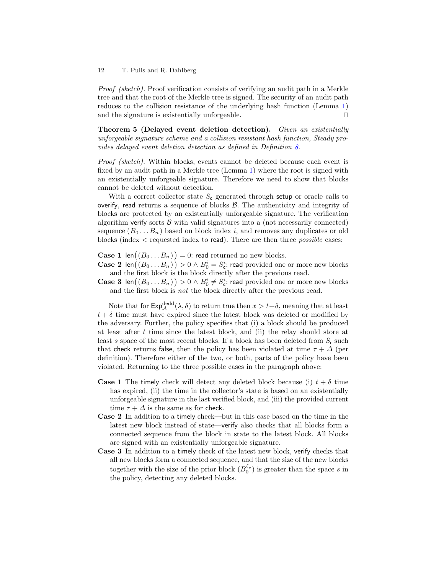Proof (sketch). Proof verification consists of verifying an audit path in a Merkle tree and that the root of the Merkle tree is signed. The security of an audit path reduces to the collision resistance of the underlying hash function (Lemma [1\)](#page-9-4) and the signature is existentially unforgeable.  $\Box$ 

<span id="page-11-0"></span>Theorem 5 (Delayed event deletion detection). Given an existentially unforgeable signature scheme and a collision resistant hash function, Steady provides delayed event deletion detection as defined in Definition [8.](#page-9-1)

Proof (sketch). Within blocks, events cannot be deleted because each event is fixed by an audit path in a Merkle tree (Lemma [1\)](#page-9-4) where the root is signed with an existentially unforgeable signature. Therefore we need to show that blocks cannot be deleted without detection.

With a correct collector state  $S_c$  generated through setup or oracle calls to overify, read returns a sequence of blocks  $\beta$ . The authenticity and integrity of blocks are protected by an existentially unforgeable signature. The verification algorithm verify sorts  $\beta$  with valid signatures into a (not necessarily connected) sequence  $(B_0 \ldots B_n)$  based on block index i, and removes any duplicates or old blocks (index  $\lt$  requested index to read). There are then three *possible* cases:

**Case 1** len $((B_0...B_n)) = 0$ : read returned no new blocks.

- **Case 2** len $((B_0...B_n)) > 0 \wedge B_0^i = S_c^i$ : read provided one or more new blocks and the first block is the block directly after the previous read.
- **Case 3**  $\textsf{len}((B_0...B_n)) > 0 \land B_0^i \neq S_c^i$ : read provided one or more new blocks and the first block is not the block directly after the previous read.

Note that for  $\mathsf{Exp}^{\mathrm{dedd}}_\mathcal{A}(\lambda,\delta)$  to return true then  $x>t+\delta,$  meaning that at least  $t + \delta$  time must have expired since the latest block was deleted or modified by the adversary. Further, the policy specifies that (i) a block should be produced at least after  $t$  time since the latest block, and (ii) the relay should store at least s space of the most recent blocks. If a block has been deleted from  $S_r$  such that check returns false, then the policy has been violated at time  $\tau + \Delta$  (per definition). Therefore either of the two, or both, parts of the policy have been violated. Returning to the three possible cases in the paragraph above:

- **Case 1** The timely check will detect any deleted block because (i)  $t + \delta$  time has expired, (ii) the time in the collector's state is based on an existentially unforgeable signature in the last verified block, and (iii) the provided current time  $\tau + \Delta$  is the same as for check.
- Case 2 In addition to a timely check—but in this case based on the time in the latest new block instead of state—verify also checks that all blocks form a connected sequence from the block in state to the latest block. All blocks are signed with an existentially unforgeable signature.
- Case 3 In addition to a timely check of the latest new block, verify checks that all new blocks form a connected sequence, and that the size of the new blocks together with the size of the prior block  $(B_0^{\ell_p})$  is greater than the space s in the policy, detecting any deleted blocks.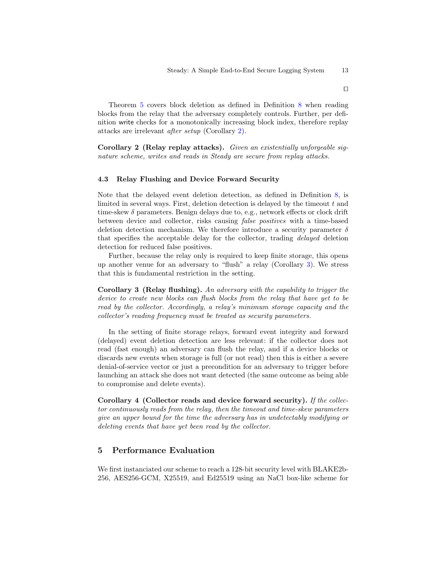Theorem [5](#page-11-0) covers block deletion as defined in Definition [8](#page-9-1) when reading blocks from the relay that the adversary completely controls. Further, per definition write checks for a monotonically increasing block index, therefore replay attacks are irrelevant after setup (Corollary [2\)](#page-12-1).

<span id="page-12-1"></span>Corollary 2 (Relay replay attacks). Given an existentially unforgeable signature scheme, writes and reads in Steady are secure from replay attacks.

## 4.3 Relay Flushing and Device Forward Security

Note that the delayed event deletion detection, as defined in Definition [8,](#page-9-1) is limited in several ways. First, deletion detection is delayed by the timeout  $t$  and time-skew  $\delta$  parameters. Benign delays due to, e.g., network effects or clock drift between device and collector, risks causing false positives with a time-based deletion detection mechanism. We therefore introduce a security parameter  $\delta$ that specifies the acceptable delay for the collector, trading delayed deletion detection for reduced false positives.

Further, because the relay only is required to keep finite storage, this opens up another venue for an adversary to "flush" a relay (Corollary [3\)](#page-12-2). We stress that this is fundamental restriction in the setting.

<span id="page-12-2"></span>Corollary 3 (Relay flushing). An adversary with the capability to trigger the device to create new blocks can flush blocks from the relay that have yet to be read by the collector. Accordingly, a relay's minimum storage capacity and the collector's reading frequency must be treated as security parameters.

In the setting of finite storage relays, forward event integrity and forward (delayed) event deletion detection are less relevant: if the collector does not read (fast enough) an adversary can flush the relay, and if a device blocks or discards new events when storage is full (or not read) then this is either a severe denial-of-service vector or just a precondition for an adversary to trigger before launching an attack she does not want detected (the same outcome as being able to compromise and delete events).

Corollary 4 (Collector reads and device forward security). If the collector continuously reads from the relay, then the timeout and time-skew parameters give an upper bound for the time the adversary has in undetectably modifying or deleting events that have yet been read by the collector.

# <span id="page-12-0"></span>5 Performance Evaluation

We first instanciated our scheme to reach a 128-bit security level with BLAKE2b-256, AES256-GCM, X25519, and Ed25519 using an NaCl box-like scheme for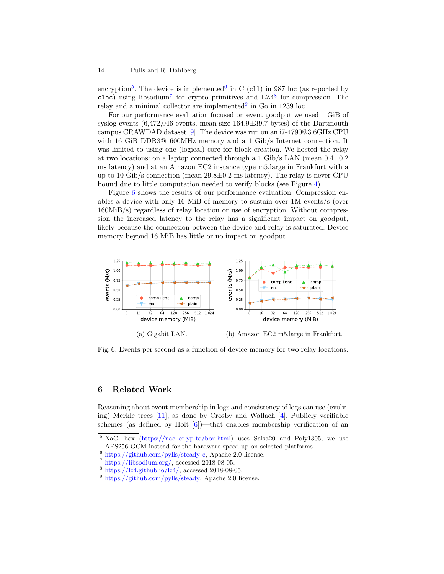encryption<sup>[5](#page-13-1)</sup>. The device is implemented<sup>[6](#page-13-2)</sup> in C (c11) in 987 loc (as reported by cloc) using libsodium<sup>[7](#page-13-3)</sup> for crypto primitives and  $LZ4<sup>8</sup>$  $LZ4<sup>8</sup>$  $LZ4<sup>8</sup>$  for compression. The relay and a minimal collector are implemented<sup>[9](#page-13-5)</sup> in Go in 1239 loc.

For our performance evaluation focused on event goodput we used 1 GiB of syslog events  $(6,472,046$  events, mean size  $164.9 \pm 39.7$  bytes) of the Dartmouth campus CRAWDAD dataset [\[9\]](#page-15-5). The device was run on an i7-4790@3.6GHz CPU with 16 GiB DDR3@1600MHz memory and a 1 Gib/s Internet connection. It was limited to using one (logical) core for block creation. We hosted the relay at two locations: on a laptop connected through a 1 Gib/s LAN (mean  $0.4 \pm 0.2$ ) ms latency) and at an Amazon EC2 instance type m5.large in Frankfurt with a up to 10 Gib/s connection (mean 29.8±0.2 ms latency). The relay is never CPU bound due to little computation needed to verify blocks (see Figure [4\)](#page-4-0).

Figure [6](#page-13-6) shows the results of our performance evaluation. Compression enables a device with only 16 MiB of memory to sustain over 1M events/s (over 160MiB/s) regardless of relay location or use of encryption. Without compression the increased latency to the relay has a significant impact on goodput, likely because the connection between the device and relay is saturated. Device memory beyond 16 MiB has little or no impact on goodput.

<span id="page-13-6"></span>

Fig. 6: Events per second as a function of device memory for two relay locations.

# <span id="page-13-0"></span>6 Related Work

Reasoning about event membership in logs and consistency of logs can use (evolving) Merkle trees [\[11\]](#page-15-3), as done by Crosby and Wallach [\[4\]](#page-15-6). Publicly verifiable schemes (as defined by Holt  $[6]$ )—that enables membership verification of an

<span id="page-13-1"></span><sup>&</sup>lt;sup>5</sup> NaCl box [\(https://nacl.cr.yp.to/box.html\)](https://nacl.cr.yp.to/box.html) uses Salsa20 and Poly1305, we use AES256-GCM instead for the hardware speed-up on selected platforms.

<span id="page-13-2"></span> $^6$ [https://github.com/pylls/steady-c,](https://github.com/pylls/steady-c) Apache 2.0 license.

<span id="page-13-3"></span><sup>7</sup> [https://libsodium.org/,](https://libsodium.org/) accessed 2018-08-05.

<span id="page-13-4"></span><sup>8</sup> [https://lz4.github.io/lz4/,](https://lz4.github.io/lz4/) accessed 2018-08-05.

<span id="page-13-5"></span><sup>9</sup> [https://github.com/pylls/steady,](https://github.com/pylls/steady) Apache 2.0 license.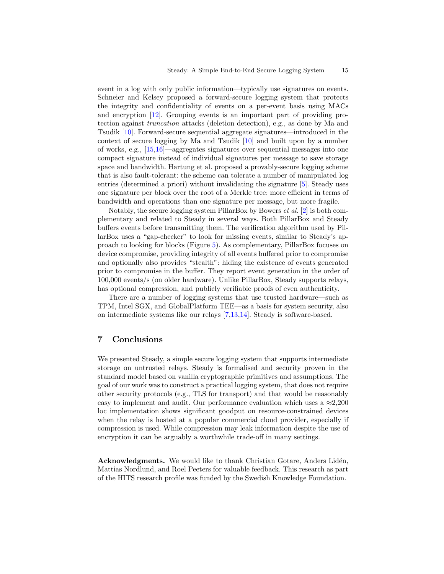event in a log with only public information—typically use signatures on events. Schneier and Kelsey proposed a forward-secure logging system that protects the integrity and confidentiality of events on a per-event basis using MACs and encryption [\[12\]](#page-15-0). Grouping events is an important part of providing protection against truncation attacks (deletion detection), e.g., as done by Ma and Tsudik [\[10\]](#page-15-8). Forward-secure sequential aggregate signatures—introduced in the context of secure logging by Ma and Tsudik [\[10\]](#page-15-8) and built upon by a number of works, e.g., [\[15,](#page-15-9)[16\]](#page-15-10)—aggregates signatures over sequential messages into one compact signature instead of individual signatures per message to save storage space and bandwidth. Hartung et al. proposed a provably-secure logging scheme that is also fault-tolerant: the scheme can tolerate a number of manipulated log entries (determined a priori) without invalidating the signature [\[5\]](#page-15-11). Steady uses one signature per block over the root of a Merkle tree: more efficient in terms of bandwidth and operations than one signature per message, but more fragile.

Notably, the secure logging system PillarBox by Bowers et al. [\[2\]](#page-15-12) is both complementary and related to Steady in several ways. Both PillarBox and Steady buffers events before transmitting them. The verification algorithm used by PillarBox uses a "gap-checker" to look for missing events, similar to Steady's approach to looking for blocks (Figure [5\)](#page-5-1). As complementary, PillarBox focuses on device compromise, providing integrity of all events buffered prior to compromise and optionally also provides "stealth": hiding the existence of events generated prior to compromise in the buffer. They report event generation in the order of 100,000 events/s (on older hardware). Unlike PillarBox, Steady supports relays, has optional compression, and publicly verifiable proofs of even authenticity.

There are a number of logging systems that use trusted hardware—such as TPM, Intel SGX, and GlobalPlatform TEE—as a basis for system security, also on intermediate systems like our relays [\[7](#page-15-13)[,13,](#page-15-14)[14\]](#page-15-15). Steady is software-based.

# <span id="page-14-0"></span>7 Conclusions

We presented Steady, a simple secure logging system that supports intermediate storage on untrusted relays. Steady is formalised and security proven in the standard model based on vanilla cryptographic primitives and assumptions. The goal of our work was to construct a practical logging system, that does not require other security protocols (e.g., TLS for transport) and that would be reasonably easy to implement and audit. Our performance evaluation which uses a  $\approx 2,200$ loc implementation shows significant goodput on resource-constrained devices when the relay is hosted at a popular commercial cloud provider, especially if compression is used. While compression may leak information despite the use of encryption it can be arguably a worthwhile trade-off in many settings.

Acknowledgments. We would like to thank Christian Gotare, Anders Lidén, Mattias Nordlund, and Roel Peeters for valuable feedback. This research as part of the HITS research profile was funded by the Swedish Knowledge Foundation.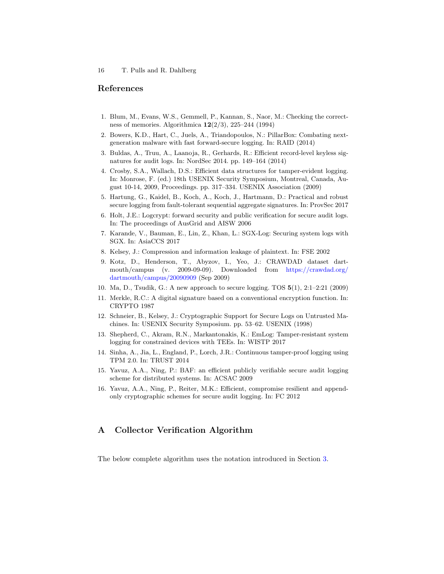## References

- <span id="page-15-4"></span>1. Blum, M., Evans, W.S., Gemmell, P., Kannan, S., Naor, M.: Checking the correctness of memories. Algorithmica  $12(2/3)$ , 225–244 (1994)
- <span id="page-15-12"></span>2. Bowers, K.D., Hart, C., Juels, A., Triandopoulos, N.: PillarBox: Combating nextgeneration malware with fast forward-secure logging. In: RAID (2014)
- <span id="page-15-16"></span>3. Buldas, A., Truu, A., Laanoja, R., Gerhards, R.: Efficient record-level keyless signatures for audit logs. In: NordSec 2014. pp. 149–164 (2014)
- <span id="page-15-6"></span>4. Crosby, S.A., Wallach, D.S.: Efficient data structures for tamper-evident logging. In: Monrose, F. (ed.) 18th USENIX Security Symposium, Montreal, Canada, August 10-14, 2009, Proceedings. pp. 317–334. USENIX Association (2009)
- <span id="page-15-11"></span>5. Hartung, G., Kaidel, B., Koch, A., Koch, J., Hartmann, D.: Practical and robust secure logging from fault-tolerant sequential aggregate signatures. In: ProvSec 2017
- <span id="page-15-7"></span>6. Holt, J.E.: Logcrypt: forward security and public verification for secure audit logs. In: The proceedings of AusGrid and AISW 2006
- <span id="page-15-13"></span>7. Karande, V., Bauman, E., Lin, Z., Khan, L.: SGX-Log: Securing system logs with SGX. In: AsiaCCS 2017
- <span id="page-15-2"></span>8. Kelsey, J.: Compression and information leakage of plaintext. In: FSE 2002
- <span id="page-15-5"></span>9. Kotz, D., Henderson, T., Abyzov, I., Yeo, J.: CRAWDAD dataset dartmouth/campus (v. 2009-09-09). Downloaded from [https://crawdad.org/](https://crawdad.org/dartmouth/campus/20090909) [dartmouth/campus/20090909](https://crawdad.org/dartmouth/campus/20090909) (Sep 2009)
- <span id="page-15-8"></span>10. Ma, D., Tsudik, G.: A new approach to secure logging. TOS 5(1), 2:1–2:21 (2009)
- <span id="page-15-3"></span>11. Merkle, R.C.: A digital signature based on a conventional encryption function. In: CRYPTO 1987
- <span id="page-15-0"></span>12. Schneier, B., Kelsey, J.: Cryptographic Support for Secure Logs on Untrusted Machines. In: USENIX Security Symposium. pp. 53–62. USENIX (1998)
- <span id="page-15-14"></span>13. Shepherd, C., Akram, R.N., Markantonakis, K.: EmLog: Tamper-resistant system logging for constrained devices with TEEs. In: WISTP 2017
- <span id="page-15-15"></span>14. Sinha, A., Jia, L., England, P., Lorch, J.R.: Continuous tamper-proof logging using TPM 2.0. In: TRUST 2014
- <span id="page-15-9"></span>15. Yavuz, A.A., Ning, P.: BAF: an efficient publicly verifiable secure audit logging scheme for distributed systems. In: ACSAC 2009
- <span id="page-15-10"></span>16. Yavuz, A.A., Ning, P., Reiter, M.K.: Efficient, compromise resilient and appendonly cryptographic schemes for secure audit logging. In: FC 2012

# <span id="page-15-1"></span>A Collector Verification Algorithm

The below complete algorithm uses the notation introduced in Section [3.](#page-5-0)